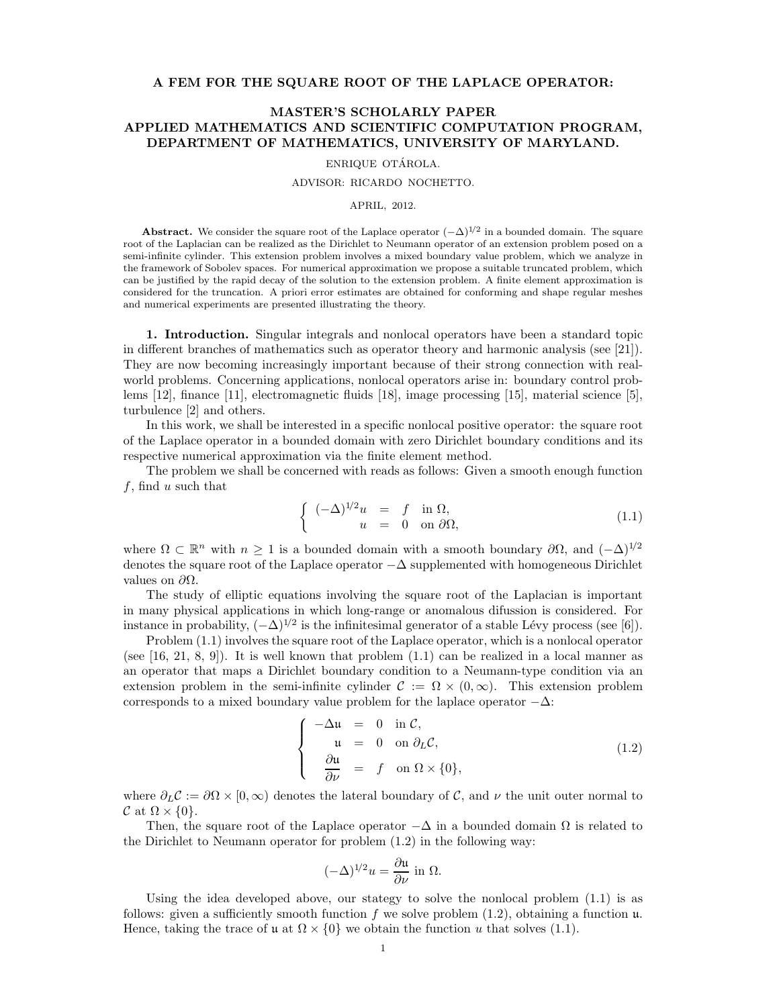## A FEM FOR THE SQUARE ROOT OF THE LAPLACE OPERATOR:

# MASTER'S SCHOLARLY PAPER APPLIED MATHEMATICS AND SCIENTIFIC COMPUTATION PROGRAM, DEPARTMENT OF MATHEMATICS, UNIVERSITY OF MARYLAND.

#### ENRIQUE OTÁROLA.

#### ADVISOR: RICARDO NOCHETTO.

#### APRIL, 2012.

**Abstract.** We consider the square root of the Laplace operator  $(-\Delta)^{1/2}$  in a bounded domain. The square root of the Laplacian can be realized as the Dirichlet to Neumann operator of an extension problem posed on a semi-infinite cylinder. This extension problem involves a mixed boundary value problem, which we analyze in the framework of Sobolev spaces. For numerical approximation we propose a suitable truncated problem, which can be justified by the rapid decay of the solution to the extension problem. A finite element approximation is considered for the truncation. A priori error estimates are obtained for conforming and shape regular meshes and numerical experiments are presented illustrating the theory.

1. Introduction. Singular integrals and nonlocal operators have been a standard topic in different branches of mathematics such as operator theory and harmonic analysis (see [21]). They are now becoming increasingly important because of their strong connection with realworld problems. Concerning applications, nonlocal operators arise in: boundary control problems [12], finance [11], electromagnetic fluids [18], image processing [15], material science [5], turbulence [2] and others.

In this work, we shall be interested in a specific nonlocal positive operator: the square root of the Laplace operator in a bounded domain with zero Dirichlet boundary conditions and its respective numerical approximation via the finite element method.

The problem we shall be concerned with reads as follows: Given a smooth enough function f, find u such that

$$
\begin{cases}\n(-\Delta)^{1/2}u &= f \text{ in } \Omega, \\
u &= 0 \text{ on } \partial\Omega,\n\end{cases}
$$
\n(1.1)

where  $\Omega \subset \mathbb{R}^n$  with  $n \geq 1$  is a bounded domain with a smooth boundary  $\partial \Omega$ , and  $(-\Delta)^{1/2}$ denotes the square root of the Laplace operator −∆ supplemented with homogeneous Dirichlet values on  $\partial\Omega$ .

The study of elliptic equations involving the square root of the Laplacian is important in many physical applications in which long-range or anomalous difussion is considered. For instance in probability,  $(-\Delta)^{1/2}$  is the infinitesimal generator of a stable Lévy process (see [6]).

Problem (1.1) involves the square root of the Laplace operator, which is a nonlocal operator (see  $[16, 21, 8, 9]$ ). It is well known that problem  $(1.1)$  can be realized in a local manner as an operator that maps a Dirichlet boundary condition to a Neumann-type condition via an extension problem in the semi-infinite cylinder  $C := \Omega \times (0, \infty)$ . This extension problem corresponds to a mixed boundary value problem for the laplace operator  $-\Delta$ :

$$
\begin{cases}\n-\Delta u = 0 & \text{in } C, \\
u = 0 & \text{on } \partial_L C, \\
\frac{\partial u}{\partial \nu} = f & \text{on } \Omega \times \{0\},\n\end{cases}
$$
\n(1.2)

where  $\partial_L C := \partial \Omega \times [0, \infty)$  denotes the lateral boundary of C, and  $\nu$  the unit outer normal to  $\mathcal{C}$  at  $\Omega \times \{0\}.$ 

Then, the square root of the Laplace operator  $-\Delta$  in a bounded domain  $\Omega$  is related to the Dirichlet to Neumann operator for problem (1.2) in the following way:

$$
(-\Delta)^{1/2}u = \frac{\partial \mathfrak{u}}{\partial \nu} \text{ in } \Omega.
$$

Using the idea developed above, our stategy to solve the nonlocal problem (1.1) is as follows: given a sufficiently smooth function f we solve problem  $(1.2)$ , obtaining a function  $\mu$ . Hence, taking the trace of u at  $\Omega \times \{0\}$  we obtain the function u that solves (1.1).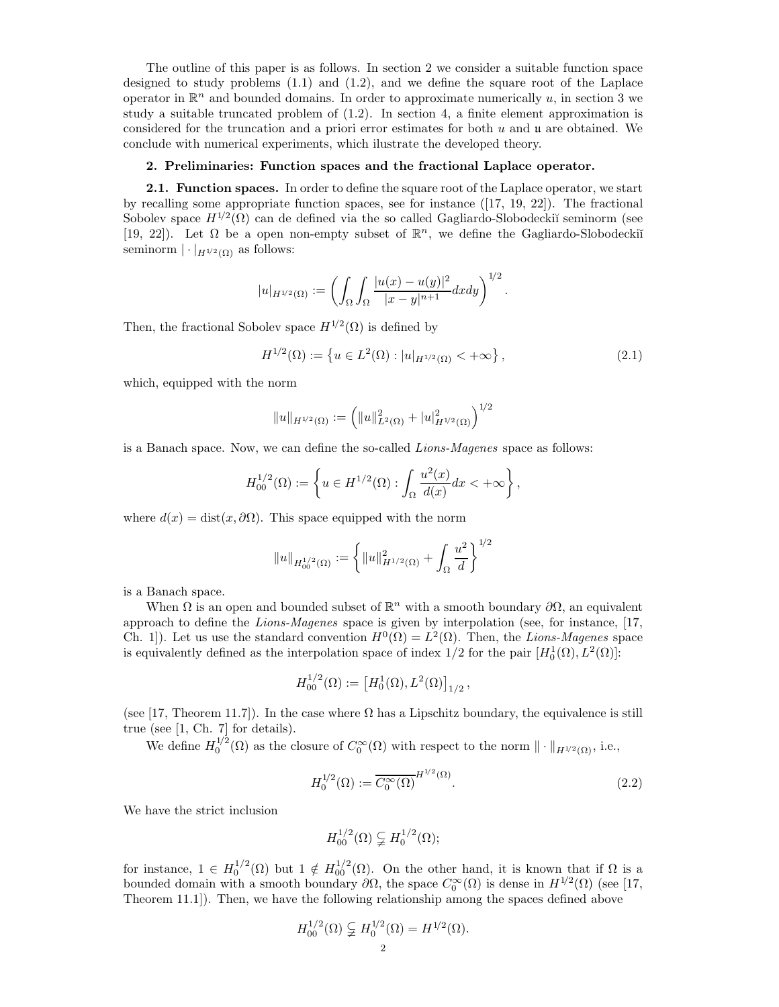The outline of this paper is as follows. In section 2 we consider a suitable function space designed to study problems  $(1.1)$  and  $(1.2)$ , and we define the square root of the Laplace operator in  $\mathbb{R}^n$  and bounded domains. In order to approximate numerically u, in section 3 we study a suitable truncated problem of (1.2). In section 4, a finite element approximation is considered for the truncation and a priori error estimates for both u and u are obtained. We conclude with numerical experiments, which ilustrate the developed theory.

## 2. Preliminaries: Function spaces and the fractional Laplace operator.

2.1. Function spaces. In order to define the square root of the Laplace operator, we start by recalling some appropriate function spaces, see for instance  $([17, 19, 22])$ . The fractional Sobolev space  $H^{1/2}(\Omega)$  can de defined via the so called Gagliardo-Slobodeckiĭ seminorm (see [19, 22]). Let  $\Omega$  be a open non-empty subset of  $\mathbb{R}^n$ , we define the Gagliardo-Slobodeckiı̆ seminorm  $|\cdot|_{H^{1/2}(\Omega)}$  as follows:

$$
|u|_{H^{1/2}(\Omega)} := \left( \int_{\Omega} \int_{\Omega} \frac{|u(x) - u(y)|^2}{|x - y|^{n+1}} dx dy \right)^{1/2}.
$$

Then, the fractional Sobolev space  $H^{1/2}(\Omega)$  is defined by

$$
H^{1/2}(\Omega) := \left\{ u \in L^2(\Omega) : |u|_{H^{1/2}(\Omega)} < +\infty \right\},\tag{2.1}
$$

which, equipped with the norm

$$
||u||_{H^{1/2}(\Omega)} := (||u||_{L^2(\Omega)}^2 + |u|_{H^{1/2}(\Omega)}^2)^{1/2}
$$

is a Banach space. Now, we can define the so-called Lions-Magenes space as follows:

$$
H_{00}^{1/2}(\Omega) := \left\{ u \in H^{1/2}(\Omega) : \int_{\Omega} \frac{u^2(x)}{d(x)} dx < +\infty \right\},\,
$$

where  $d(x) = \text{dist}(x, \partial \Omega)$ . This space equipped with the norm

$$
||u||_{H_{00}^{1/2}(\Omega)} := \left\{ ||u||_{H^{1/2}(\Omega)}^2 + \int_{\Omega} \frac{u^2}{d} \right\}^{1/2}
$$

is a Banach space.

When  $\Omega$  is an open and bounded subset of  $\mathbb{R}^n$  with a smooth boundary  $\partial\Omega$ , an equivalent approach to define the Lions-Magenes space is given by interpolation (see, for instance, [17, Ch. 1]). Let us use the standard convention  $H^0(\Omega) = L^2(\Omega)$ . Then, the Lions-Magenes space is equivalently defined as the interpolation space of index  $1/2$  for the pair  $[H_0^1(\Omega), L^2(\Omega)]$ :

$$
H_{00}^{1/2}(\Omega) := \left[ H_0^1(\Omega), L^2(\Omega) \right]_{1/2},
$$

(see [17, Theorem 11.7]). In the case where  $\Omega$  has a Lipschitz boundary, the equivalence is still true (see [1, Ch. 7] for details).

We define  $H_0^{1/2}(\Omega)$  as the closure of  $C_0^{\infty}(\Omega)$  with respect to the norm  $\|\cdot\|_{H^{1/2}(\Omega)}$ , i.e.,

$$
H_0^{1/2}(\Omega) := \overline{C_0^{\infty}(\Omega)}^{H^{1/2}(\Omega)}.
$$
\n(2.2)

We have the strict inclusion

$$
H_{00}^{1/2}(\Omega) \subsetneq H_0^{1/2}(\Omega);
$$

for instance,  $1 \in H_0^{1/2}(\Omega)$  but  $1 \notin H_{00}^{1/2}(\Omega)$ . On the other hand, it is known that if  $\Omega$  is a bounded domain with a smooth boundary  $\partial\Omega$ , the space  $C_0^{\infty}(\Omega)$  is dense in  $H^{1/2}(\Omega)$  (see [17, Theorem 11.1]). Then, we have the following relationship among the spaces defined above

$$
H_{00}^{1/2}(\Omega) \subsetneqq H_0^{1/2}(\Omega) = H^{1/2}(\Omega).
$$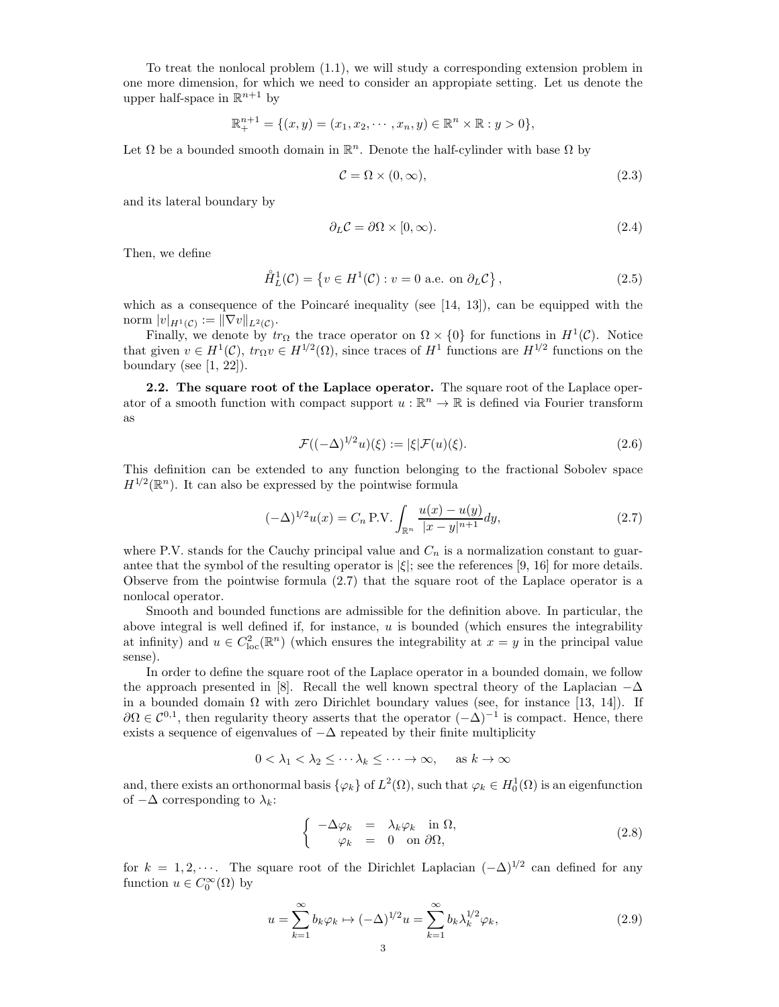To treat the nonlocal problem (1.1), we will study a corresponding extension problem in one more dimension, for which we need to consider an appropiate setting. Let us denote the upper half-space in  $\mathbb{R}^{n+1}$  by

$$
\mathbb{R}^{n+1}_{+} = \{(x, y) = (x_1, x_2, \cdots, x_n, y) \in \mathbb{R}^n \times \mathbb{R} : y > 0\},\
$$

Let  $\Omega$  be a bounded smooth domain in  $\mathbb{R}^n$ . Denote the half-cylinder with base  $\Omega$  by

$$
\mathcal{C} = \Omega \times (0, \infty),\tag{2.3}
$$

and its lateral boundary by

$$
\partial_L \mathcal{C} = \partial \Omega \times [0, \infty). \tag{2.4}
$$

Then, we define

$$
\mathring{H}_L^1(\mathcal{C}) = \left\{ v \in H^1(\mathcal{C}) : v = 0 \text{ a.e. on } \partial_L \mathcal{C} \right\},\tag{2.5}
$$

which as a consequence of the Poincaré inequality (see  $[14, 13]$ ), can be equipped with the norm  $|v|_{H^1(\mathcal{C})} := \|\nabla v\|_{L^2(\mathcal{C})}.$ 

Finally, we denote by  $tr_{\Omega}$  the trace operator on  $\Omega \times \{0\}$  for functions in  $H^1(\mathcal{C})$ . Notice that given  $v \in H^1(\mathcal{C})$ ,  $tr_\Omega v \in H^{1/2}(\Omega)$ , since traces of  $H^1$  functions are  $H^{1/2}$  functions on the boundary (see  $[1, 22]$ ).

2.2. The square root of the Laplace operator. The square root of the Laplace operator of a smooth function with compact support  $u : \mathbb{R}^n \to \mathbb{R}$  is defined via Fourier transform as

$$
\mathcal{F}((-\Delta)^{1/2}u)(\xi) := |\xi|\mathcal{F}(u)(\xi).
$$
\n(2.6)

This definition can be extended to any function belonging to the fractional Sobolev space  $H^{1/2}(\mathbb{R}^n)$ . It can also be expressed by the pointwise formula

$$
(-\Delta)^{1/2}u(x) = C_n \text{ P.V.} \int_{\mathbb{R}^n} \frac{u(x) - u(y)}{|x - y|^{n+1}} dy,
$$
\n(2.7)

where P.V. stands for the Cauchy principal value and  $C_n$  is a normalization constant to guarantee that the symbol of the resulting operator is  $|\xi|$ ; see the references [9, 16] for more details. Observe from the pointwise formula (2.7) that the square root of the Laplace operator is a nonlocal operator.

Smooth and bounded functions are admissible for the definition above. In particular, the above integral is well defined if, for instance,  $u$  is bounded (which ensures the integrability at infinity) and  $u \in C^2_{loc}(\mathbb{R}^n)$  (which ensures the integrability at  $x = y$  in the principal value sense).

In order to define the square root of the Laplace operator in a bounded domain, we follow the approach presented in [8]. Recall the well known spectral theory of the Laplacian  $-\Delta$ in a bounded domain  $\Omega$  with zero Dirichlet boundary values (see, for instance [13, 14]). If  $\partial\Omega \in C^{0,1}$ , then regularity theory asserts that the operator  $(-\Delta)^{-1}$  is compact. Hence, there exists a sequence of eigenvalues of  $-\Delta$  repeated by their finite multiplicity

$$
0 < \lambda_1 < \lambda_2 \leq \cdots \lambda_k \leq \cdots \to \infty, \quad \text{as } k \to \infty
$$

and, there exists an orthonormal basis  $\{\varphi_k\}$  of  $L^2(\Omega)$ , such that  $\varphi_k \in H_0^1(\Omega)$  is an eigenfunction of  $-\Delta$  corresponding to  $\lambda_k$ :

$$
\begin{cases}\n-\Delta \varphi_k = \lambda_k \varphi_k \quad \text{in } \Omega, \\
\varphi_k = 0 \quad \text{on } \partial \Omega,\n\end{cases}
$$
\n(2.8)

for  $k = 1, 2, \cdots$ . The square root of the Dirichlet Laplacian  $(-\Delta)^{1/2}$  can defined for any function  $u \in C_0^{\infty}(\Omega)$  by

$$
u = \sum_{k=1}^{\infty} b_k \varphi_k \mapsto (-\Delta)^{1/2} u = \sum_{k=1}^{\infty} b_k \lambda_k^{1/2} \varphi_k,
$$
\n(2.9)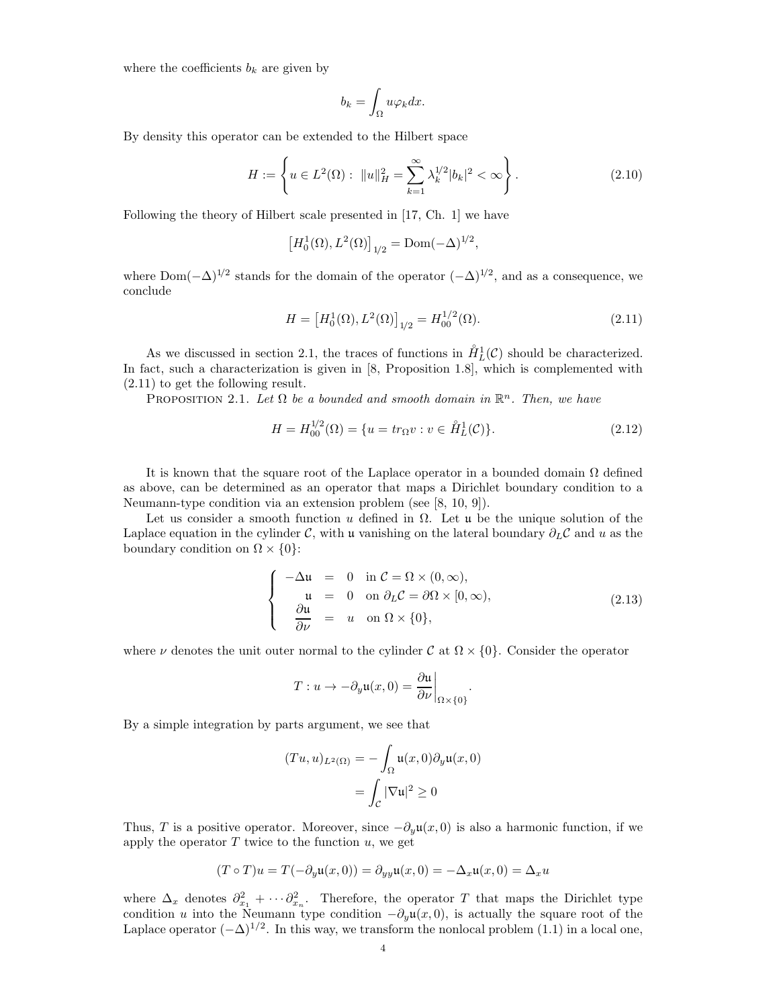where the coefficients  $b_k$  are given by

$$
b_k = \int_{\Omega} u \varphi_k dx.
$$

By density this operator can be extended to the Hilbert space

$$
H := \left\{ u \in L^{2}(\Omega) : ||u||_{H}^{2} = \sum_{k=1}^{\infty} \lambda_{k}^{1/2} |b_{k}|^{2} < \infty \right\}.
$$
\n(2.10)

Following the theory of Hilbert scale presented in [17, Ch. 1] we have

$$
[H_0^1(\Omega), L^2(\Omega)]_{1/2} = \text{Dom}(-\Delta)^{1/2},
$$

where  $Dom(-\Delta)^{1/2}$  stands for the domain of the operator  $(-\Delta)^{1/2}$ , and as a consequence, we conclude

$$
H = \left[ H_0^1(\Omega), L^2(\Omega) \right]_{1/2} = H_{00}^{1/2}(\Omega). \tag{2.11}
$$

As we discussed in section 2.1, the traces of functions in  $\mathring{H}_L^1(\mathcal{C})$  should be characterized. In fact, such a characterization is given in [8, Proposition 1.8], which is complemented with (2.11) to get the following result.

PROPOSITION 2.1. Let  $\Omega$  be a bounded and smooth domain in  $\mathbb{R}^n$ . Then, we have

$$
H = H_{00}^{1/2}(\Omega) = \{ u = tr_{\Omega} v : v \in \mathring{H}_L^1(\mathcal{C}) \}. \tag{2.12}
$$

It is known that the square root of the Laplace operator in a bounded domain  $\Omega$  defined as above, can be determined as an operator that maps a Dirichlet boundary condition to a Neumann-type condition via an extension problem (see [8, 10, 9]).

Let us consider a smooth function u defined in  $\Omega$ . Let u be the unique solution of the Laplace equation in the cylinder C, with u vanishing on the lateral boundary  $\partial_L C$  and u as the boundary condition on  $\Omega \times \{0\}$ :

$$
\begin{cases}\n-\Delta u = 0 & \text{in } C = \Omega \times (0, \infty), \\
u = 0 & \text{on } \partial_L C = \partial \Omega \times [0, \infty), \\
\frac{\partial u}{\partial \nu} = u & \text{on } \Omega \times \{0\},\n\end{cases}
$$
\n(2.13)

where  $\nu$  denotes the unit outer normal to the cylinder C at  $\Omega \times \{0\}$ . Consider the operator

$$
T: u \to -\partial_y \mathfrak{u}(x,0) = \frac{\partial \mathfrak{u}}{\partial \nu}\bigg|_{\Omega \times \{0\}}.
$$

By a simple integration by parts argument, we see that

$$
(Tu, u)_{L^2(\Omega)} = -\int_{\Omega} \mathfrak{u}(x, 0) \partial_y \mathfrak{u}(x, 0)
$$

$$
= \int_{\mathcal{C}} |\nabla \mathfrak{u}|^2 \ge 0
$$

Thus, T is a positive operator. Moreover, since  $-\partial_{\nu}u(x, 0)$  is also a harmonic function, if we apply the operator  $T$  twice to the function  $u$ , we get

$$
(T \circ T)u = T(-\partial_y \mathfrak{u}(x,0)) = \partial_{yy}\mathfrak{u}(x,0) = -\Delta_x \mathfrak{u}(x,0) = \Delta_x u
$$

where  $\Delta_x$  denotes  $\partial_{x_1}^2 + \cdots + \partial_{x_n}^2$ . Therefore, the operator T that maps the Dirichlet type condition u into the Neumann type condition  $-\partial_y\mathfrak{u}(x,0)$ , is actually the square root of the Laplace operator  $(-\Delta)^{1/2}$ . In this way, we transform the nonlocal problem (1.1) in a local one,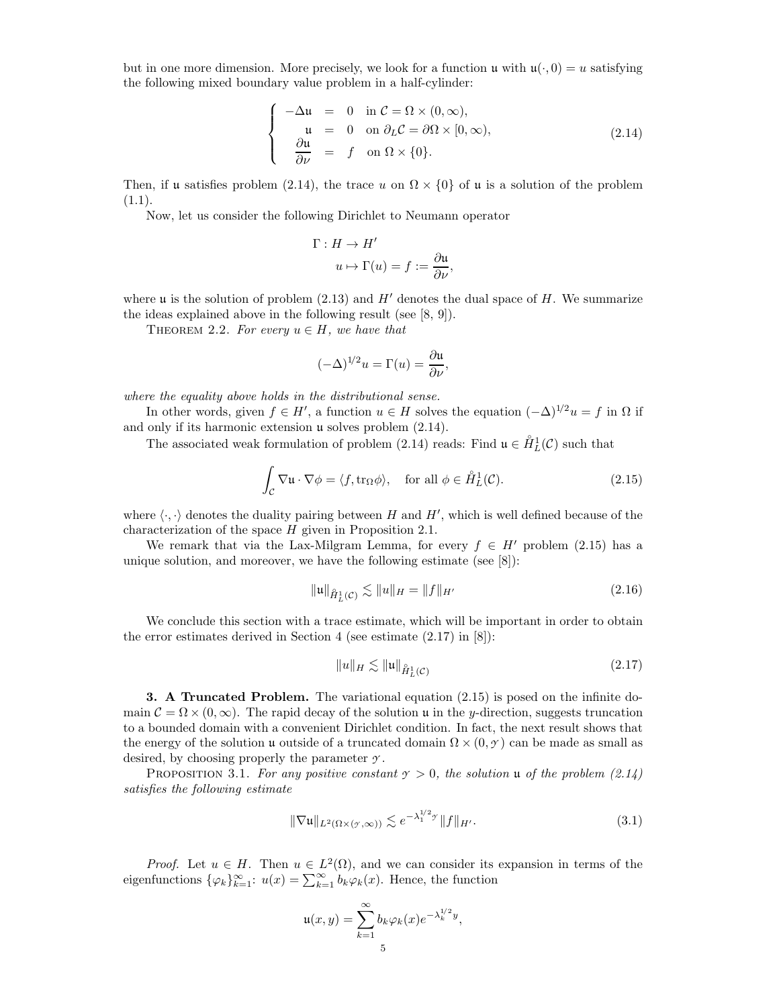but in one more dimension. More precisely, we look for a function  $\mathfrak{u}$  with  $\mathfrak{u}(\cdot, 0) = u$  satisfying the following mixed boundary value problem in a half-cylinder:

$$
\begin{cases}\n-\Delta u = 0 & \text{in } C = \Omega \times (0, \infty), \\
u = 0 & \text{on } \partial_L C = \partial \Omega \times [0, \infty), \\
\frac{\partial u}{\partial \nu} = f & \text{on } \Omega \times \{0\}.\n\end{cases}
$$
\n(2.14)

Then, if u satisfies problem (2.14), the trace u on  $\Omega \times \{0\}$  of u is a solution of the problem  $(1.1).$ 

Now, let us consider the following Dirichlet to Neumann operator

$$
\Gamma: H \to H'
$$
  

$$
u \mapsto \Gamma(u) = f := \frac{\partial u}{\partial \nu},
$$

where  $\mu$  is the solution of problem (2.13) and  $H'$  denotes the dual space of H. We summarize the ideas explained above in the following result (see [8, 9]).

THEOREM 2.2. For every  $u \in H$ , we have that

$$
(-\Delta)^{1/2}u = \Gamma(u) = \frac{\partial u}{\partial \nu},
$$

where the equality above holds in the distributional sense.

In other words, given  $f \in H'$ , a function  $u \in H$  solves the equation  $(-\Delta)^{1/2}u = f$  in  $\Omega$  if and only if its harmonic extension u solves problem (2.14).

The associated weak formulation of problem (2.14) reads: Find  $\mathfrak{u} \in \overset{\circ}{H}_{L}^{1}(\mathcal{C})$  such that

$$
\int_{\mathcal{C}} \nabla \mathbf{u} \cdot \nabla \phi = \langle f, \text{tr}_{\Omega} \phi \rangle, \quad \text{for all } \phi \in \mathring{H}_L^1(\mathcal{C}).
$$
\n(2.15)

where  $\langle \cdot, \cdot \rangle$  denotes the duality pairing between H and H', which is well defined because of the characterization of the space H given in Proposition 2.1.

We remark that via the Lax-Milgram Lemma, for every  $f \in H'$  problem (2.15) has a unique solution, and moreover, we have the following estimate (see [8]):

$$
\|u\|_{\hat{H}_L^1(\mathcal{C})} \lesssim \|u\|_H = \|f\|_{H'}
$$
\n(2.16)

We conclude this section with a trace estimate, which will be important in order to obtain the error estimates derived in Section 4 (see estimate  $(2.17)$  in  $[8]$ ):

$$
||u||_H \lesssim ||u||_{\hat{H}_L^1(\mathcal{C})} \tag{2.17}
$$

3. A Truncated Problem. The variational equation (2.15) is posed on the infinite domain  $\mathcal{C} = \Omega \times (0, \infty)$ . The rapid decay of the solution u in the y-direction, suggests truncation to a bounded domain with a convenient Dirichlet condition. In fact, the next result shows that the energy of the solution u outside of a truncated domain  $\Omega \times (0, \gamma)$  can be made as small as desired, by choosing properly the parameter *Y* .

PROPOSITION 3.1. For any positive constant  $\gamma > 0$ , the solution u of the problem  $(2.14)$ satisfies the following estimate

$$
\|\nabla \mathfrak{u}\|_{L^{2}(\Omega\times(\mathcal{Y},\infty))} \lesssim e^{-\lambda_{1}^{1/2}\mathcal{Y}} \|f\|_{H'}.
$$
\n(3.1)

*Proof.* Let  $u \in H$ . Then  $u \in L^2(\Omega)$ , and we can consider its expansion in terms of the eigenfunctions  $\{\varphi_k\}_{k=1}^{\infty}$ :  $u(x) = \sum_{k=1}^{\infty} b_k \varphi_k(x)$ . Hence, the function

$$
\mathfrak{u}(x,y) = \sum_{k=1}^{\infty} b_k \varphi_k(x) e^{-\lambda_k^{1/2} y},
$$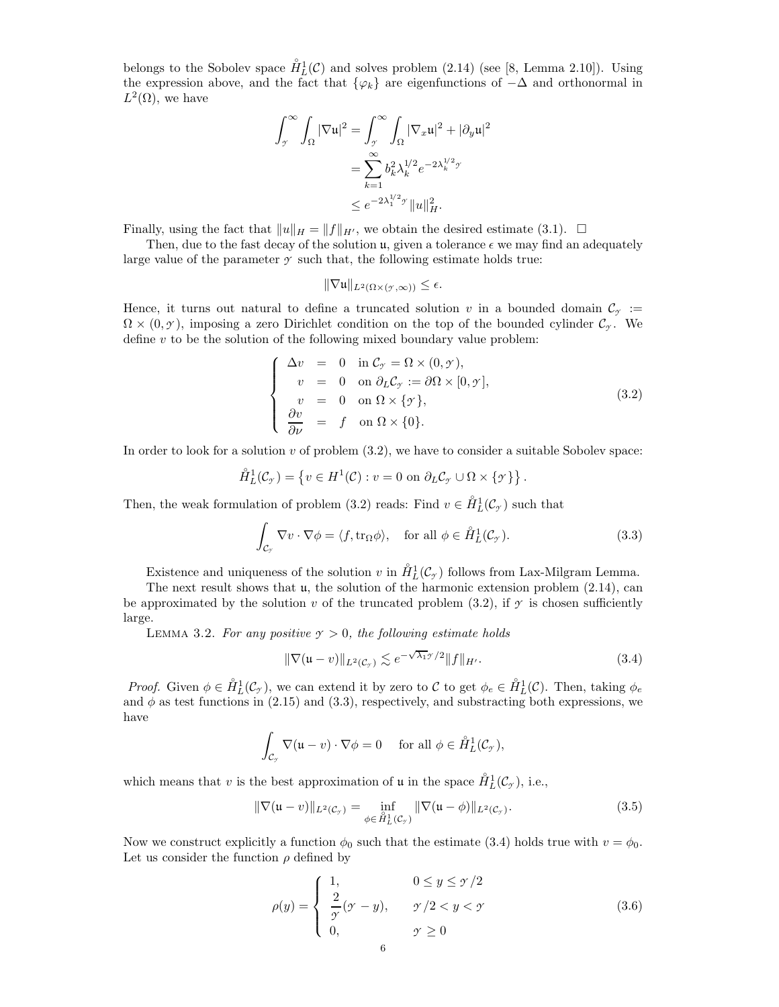belongs to the Sobolev space  $\mathring{H}_{L}^{1}(\mathcal{C})$  and solves problem (2.14) (see [8, Lemma 2.10]). Using the expression above, and the fact that  $\{\varphi_k\}$  are eigenfunctions of  $-\Delta$  and orthonormal in  $L^2(\Omega)$ , we have

$$
\int_{\mathcal{I}}^{\infty} \int_{\Omega} |\nabla \mathbf{u}|^2 = \int_{\mathcal{I}}^{\infty} \int_{\Omega} |\nabla_x \mathbf{u}|^2 + |\partial_y \mathbf{u}|^2
$$

$$
= \sum_{k=1}^{\infty} b_k^2 \lambda_k^{1/2} e^{-2\lambda_k^{1/2} \mathcal{I}}
$$

$$
\leq e^{-2\lambda_1^{1/2} \mathcal{I}} \|u\|_{H}^2.
$$

Finally, using the fact that  $||u||_H = ||f||_{H'}$ , we obtain the desired estimate (3.1).  $\Box$ 

Then, due to the fast decay of the solution  $\mathfrak{u}$ , given a tolerance  $\epsilon$  we may find an adequately large value of the parameter  $\gamma$  such that, the following estimate holds true:

$$
\|\nabla \mathfrak{u}\|_{L^2(\Omega\times(\mathbf{y},\infty))}\leq \epsilon.
$$

Hence, it turns out natural to define a truncated solution v in a bounded domain  $\mathcal{C}_{\gamma}$  :=  $\Omega \times (0, \gamma)$ , imposing a zero Dirichlet condition on the top of the bounded cylinder  $\mathcal{C}_{\gamma}$ . We define  $v$  to be the solution of the following mixed boundary value problem:

$$
\begin{cases}\n\Delta v = 0 & \text{in } \mathcal{C}_{\mathcal{Y}} = \Omega \times (0, \mathcal{Y}), \\
v = 0 & \text{on } \partial_L \mathcal{C}_{\mathcal{Y}} := \partial \Omega \times [0, \mathcal{Y}], \\
v = 0 & \text{on } \Omega \times \{\mathcal{Y}\}, \\
\frac{\partial v}{\partial \nu} = f & \text{on } \Omega \times \{0\}.\n\end{cases}
$$
\n(3.2)

In order to look for a solution  $v$  of problem  $(3.2)$ , we have to consider a suitable Sobolev space:

$$
\mathring{H}_L^1(\mathcal{C}_{\gamma}) = \left\{ v \in H^1(\mathcal{C}) : v = 0 \text{ on } \partial_L \mathcal{C}_{\gamma} \cup \Omega \times \{ \gamma \} \right\}.
$$

Then, the weak formulation of problem (3.2) reads: Find  $v \in \mathring{H}_L^1(\mathcal{C}_{\mathcal{I}})$  such that

$$
\int_{\mathcal{C}_{\mathcal{I}}} \nabla v \cdot \nabla \phi = \langle f, \text{tr}_{\Omega} \phi \rangle, \quad \text{for all } \phi \in \mathring{H}_L^1(\mathcal{C}_{\mathcal{I}}). \tag{3.3}
$$

Existence and uniqueness of the solution v in  $\mathring{H}_L^1(\mathcal{C}_{\gamma})$  follows from Lax-Milgram Lemma.

The next result shows that  $\mu$ , the solution of the harmonic extension problem  $(2.14)$ , can be approximated by the solution v of the truncated problem (3.2), if  $\gamma$  is chosen sufficiently large.

LEMMA 3.2. For any positive  $\gamma > 0$ , the following estimate holds

$$
\|\nabla(\mathfrak{u}-v)\|_{L^2(\mathcal{C}_y)} \lesssim e^{-\sqrt{\lambda_1}y/2} \|f\|_{H'}.
$$
\n(3.4)

Proof. Given  $\phi \in \mathring{H}_L^1(\mathcal{C}_{\gamma})$ , we can extend it by zero to C to get  $\phi_e \in \mathring{H}_L^1(\mathcal{C})$ . Then, taking  $\phi_e$ and  $\phi$  as test functions in (2.15) and (3.3), respectively, and substracting both expressions, we have

$$
\int_{\mathcal{C}_{\gamma}} \nabla (\mathfrak{u} - v) \cdot \nabla \phi = 0 \quad \text{ for all } \phi \in \mathring{H}_L^1(\mathcal{C}_{\gamma}),
$$

which means that v is the best approximation of u in the space  $\mathring{H}_L^1(\mathcal{C}_{\gamma})$ , i.e.,

$$
\|\nabla(\mathfrak{u}-v)\|_{L^{2}(\mathcal{C}_{\mathcal{I}})}=\inf_{\phi\in\hat{H}_{L}^{1}(\mathcal{C}_{\mathcal{I}})}\|\nabla(\mathfrak{u}-\phi)\|_{L^{2}(\mathcal{C}_{\mathcal{I}})}.
$$
\n(3.5)

Now we construct explicitly a function  $\phi_0$  such that the estimate (3.4) holds true with  $v = \phi_0$ . Let us consider the function  $\rho$  defined by

$$
\rho(y) = \begin{cases} 1, & 0 \le y \le \gamma/2 \\ \frac{2}{\gamma}(\gamma - y), & \gamma/2 < y < \gamma \\ 0, & \gamma \ge 0 \end{cases} \tag{3.6}
$$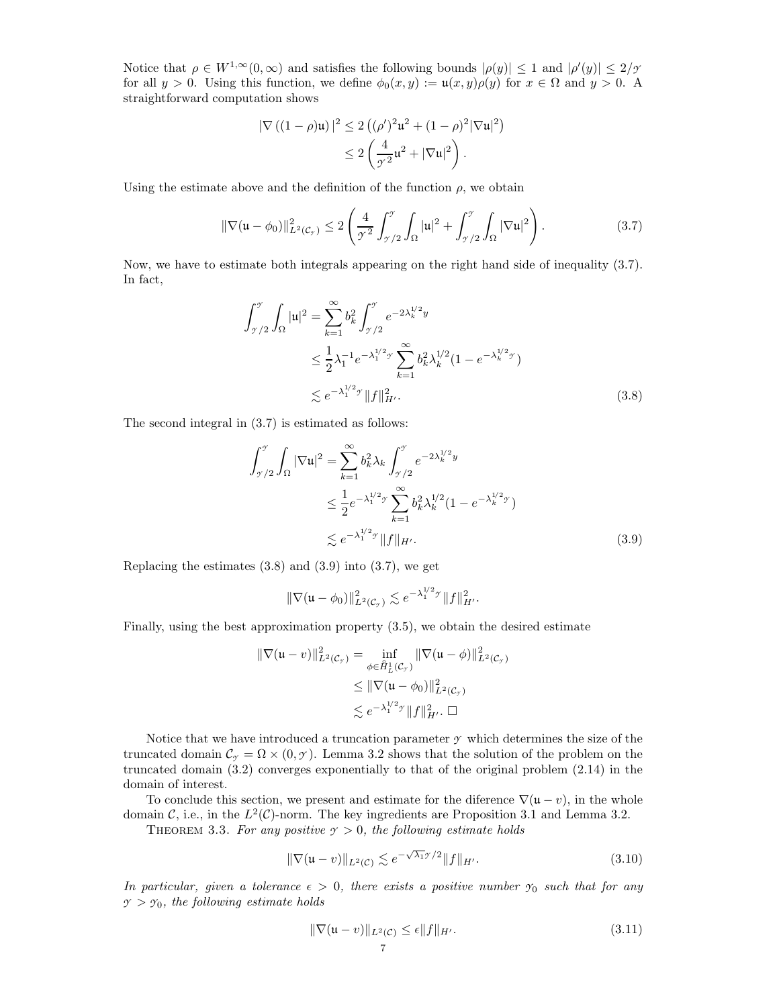Notice that  $\rho \in W^{1,\infty}(0,\infty)$  and satisfies the following bounds  $|\rho(y)| \leq 1$  and  $|\rho'(y)| \leq 2/\gamma$ for all  $y > 0$ . Using this function, we define  $\phi_0(x, y) := u(x, y)\rho(y)$  for  $x \in \Omega$  and  $y > 0$ . straightforward computation shows

$$
|\nabla ((1 - \rho)\mathfrak{u})|^2 \le 2 ((\rho')^2 \mathfrak{u}^2 + (1 - \rho)^2 |\nabla \mathfrak{u}|^2)
$$
  

$$
\le 2 \left( \frac{4}{\gamma^2} \mathfrak{u}^2 + |\nabla \mathfrak{u}|^2 \right).
$$

Using the estimate above and the definition of the function  $\rho$ , we obtain

$$
\|\nabla(\mathfrak{u}-\phi_0)\|_{L^2(\mathcal{C}_\mathcal{I})}^2 \le 2\left(\frac{4}{\mathcal{I}^2}\int_{\mathcal{I}/2}^{\mathcal{I}}\int_{\Omega}|\mathfrak{u}|^2 + \int_{\mathcal{I}/2}^{\mathcal{I}}\int_{\Omega}|\nabla\mathfrak{u}|^2\right).
$$
 (3.7)

Now, we have to estimate both integrals appearing on the right hand side of inequality (3.7). In fact,

$$
\int_{\gamma/2}^{\gamma} \int_{\Omega} |u|^2 = \sum_{k=1}^{\infty} b_k^2 \int_{\gamma/2}^{\gamma} e^{-2\lambda_k^{1/2}y} \n\le \frac{1}{2} \lambda_1^{-1} e^{-\lambda_1^{1/2}y} \sum_{k=1}^{\infty} b_k^2 \lambda_k^{1/2} (1 - e^{-\lambda_k^{1/2}y}) \n\lesssim e^{-\lambda_1^{1/2}y} \|f\|_{H'}^2.
$$
\n(3.8)

The second integral in (3.7) is estimated as follows:

$$
\int_{\gamma/2}^{\gamma} \int_{\Omega} |\nabla \mathbf{u}|^{2} = \sum_{k=1}^{\infty} b_{k}^{2} \lambda_{k} \int_{\gamma/2}^{\gamma} e^{-2\lambda_{k}^{1/2}y} \n\leq \frac{1}{2} e^{-\lambda_{1}^{1/2} \gamma} \sum_{k=1}^{\infty} b_{k}^{2} \lambda_{k}^{1/2} (1 - e^{-\lambda_{k}^{1/2} \gamma}) \n\lesssim e^{-\lambda_{1}^{1/2} \gamma} ||f||_{H'}.
$$
\n(3.9)

Replacing the estimates  $(3.8)$  and  $(3.9)$  into  $(3.7)$ , we get

$$
\|\nabla(\mathfrak{u}-\phi_0)\|_{L^2(\mathcal{C}_{\gamma})}^2 \lesssim e^{-\lambda_1^{1/2}\gamma} \|f\|_{H'}^2.
$$

Finally, using the best approximation property (3.5), we obtain the desired estimate

$$
\|\nabla(\mathbf{u} - v)\|_{L^2(\mathcal{C}_{\mathcal{T}})}^2 = \inf_{\phi \in \mathring{H}_L^1(\mathcal{C}_{\mathcal{T}})} \|\nabla(\mathbf{u} - \phi)\|_{L^2(\mathcal{C}_{\mathcal{T}})}^2
$$
  

$$
\leq \|\nabla(\mathbf{u} - \phi_0)\|_{L^2(\mathcal{C}_{\mathcal{T}})}^2
$$
  

$$
\lesssim e^{-\lambda_1^{1/2}\mathcal{T}} \|f\|_{H'}^2. \quad \Box
$$

Notice that we have introduced a truncation parameter *Y* which determines the size of the truncated domain  $\mathcal{C}_{\gamma} = \Omega \times (0, \gamma)$ . Lemma 3.2 shows that the solution of the problem on the truncated domain (3.2) converges exponentially to that of the original problem (2.14) in the domain of interest.

To conclude this section, we present and estimate for the diference  $\nabla(\mathbf{u}-v)$ , in the whole domain C, i.e., in the  $L^2(\mathcal{C})$ -norm. The key ingredients are Proposition 3.1 and Lemma 3.2.

THEOREM 3.3. For any positive  $\gamma > 0$ , the following estimate holds

$$
\|\nabla(\mathfrak{u}-v)\|_{L^2(\mathcal{C})} \lesssim e^{-\sqrt{\lambda_1} \mathfrak{I}/2} \|f\|_{H'}.\tag{3.10}
$$

In particular, given a tolerance  $\epsilon > 0$ , there exists a positive number  $\gamma_0$  such that for any  $\gamma > \gamma_0$ , the following estimate holds

$$
\|\nabla(\mathfrak{u}-v)\|_{L^2(\mathcal{C})}\leq \epsilon \|f\|_{H'}.\tag{3.11}
$$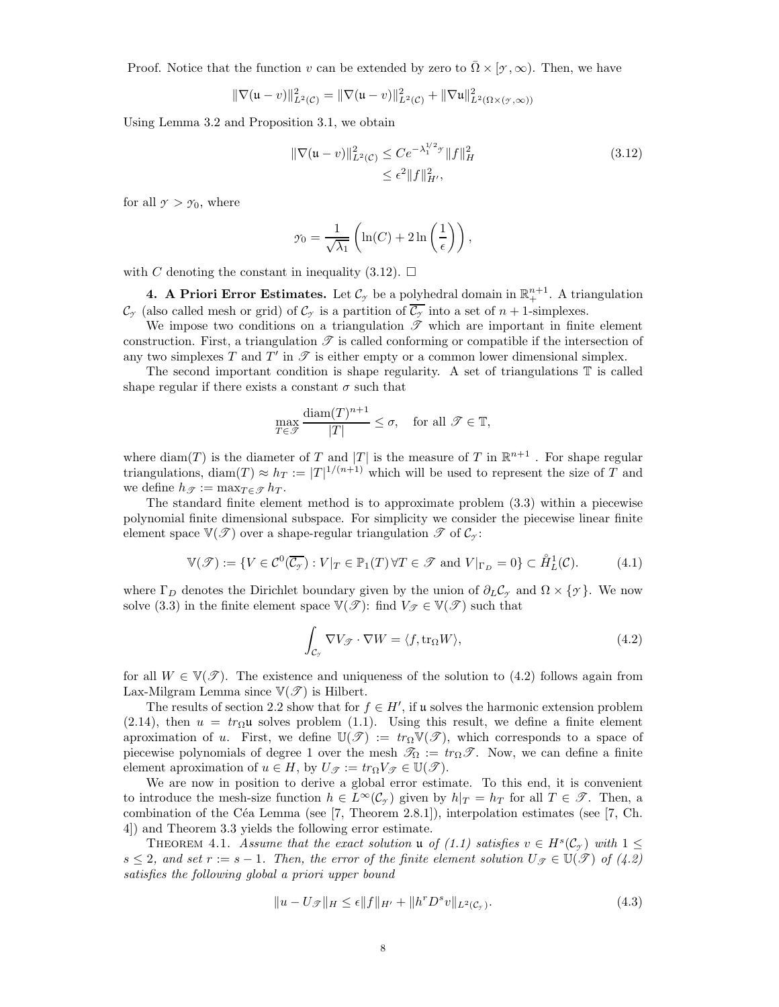Proof. Notice that the function v can be extended by zero to  $\overline{\Omega} \times [\gamma, \infty)$ . Then, we have

$$
\|\nabla(\mathfrak{u}-v)\|_{L^2(\mathcal{C})}^2 = \|\nabla(\mathfrak{u}-v)\|_{L^2(\mathcal{C})}^2 + \|\nabla\mathfrak{u}\|_{L^2(\Omega\times(\mathcal{Y},\infty))}^2
$$

Using Lemma 3.2 and Proposition 3.1, we obtain

$$
\|\nabla(\mathfrak{u}-v)\|_{L^{2}(\mathcal{C})}^{2} \leq Ce^{-\lambda_{1}^{1/2}y} \|f\|_{H}^{2}
$$
\n
$$
\leq \epsilon^{2} \|f\|_{H'}^{2},
$$
\n(3.12)

for all  $\gamma > \gamma_0$ , where

$$
\gamma_0 = \frac{1}{\sqrt{\lambda_1}} \left( \ln(C) + 2 \ln\left(\frac{1}{\epsilon}\right) \right),\,
$$

with C denoting the constant in inequality (3.12).  $\Box$ 

**4.** A Priori Error Estimates. Let  $\mathcal{C}_{\gamma}$  be a polyhedral domain in  $\mathbb{R}^{n+1}_+$ . A triangulation  $\mathcal{C}_{\gamma}$  (also called mesh or grid) of  $\mathcal{C}_{\gamma}$  is a partition of  $\overline{\mathcal{C}_{\gamma}}$  into a set of  $n+1$ -simplexes.

We impose two conditions on a triangulation  $\mathscr T$  which are important in finite element construction. First, a triangulation  $\mathscr T$  is called conforming or compatible if the intersection of any two simplexes T and T' in  $\mathscr T$  is either empty or a common lower dimensional simplex.

The second important condition is shape regularity. A set of triangulations  $\mathbb T$  is called shape regular if there exists a constant  $\sigma$  such that

$$
\max_{T \in \mathscr{T}} \frac{\text{diam}(T)^{n+1}}{|T|} \le \sigma, \quad \text{for all } \mathscr{T} \in \mathbb{T},
$$

where  $\text{diam}(T)$  is the diameter of T and  $|T|$  is the measure of T in  $\mathbb{R}^{n+1}$ . For shape regular triangulations, diam $(T) \approx h_T := |T|^{1/(n+1)}$  which will be used to represent the size of T and we define  $h_{\mathscr{T}} := \max_{T \in \mathscr{T}} h_T$ .

The standard finite element method is to approximate problem (3.3) within a piecewise polynomial finite dimensional subspace. For simplicity we consider the piecewise linear finite element space  $\mathbb{V}(\mathscr{T})$  over a shape-regular triangulation  $\mathscr{T}$  of  $\mathcal{C}_{\gamma}$ :

$$
\mathbb{V}(\mathcal{F}) := \{ V \in \mathcal{C}^0(\overline{\mathcal{C}_{\mathcal{F}}}) : V|_{T} \in \mathbb{P}_1(T) \,\forall T \in \mathcal{F} \text{ and } V|_{\Gamma_D} = 0 \} \subset \mathring{H}_L^1(\mathcal{C}). \tag{4.1}
$$

where  $\Gamma_D$  denotes the Dirichlet boundary given by the union of  $\partial_L C_\gamma$  and  $\Omega \times {\gamma}$ . We now solve (3.3) in the finite element space  $\mathbb{V}(\mathscr{T})$ : find  $V_{\mathscr{T}} \in \mathbb{V}(\mathscr{T})$  such that

$$
\int_{\mathcal{C}_{\mathcal{I}}} \nabla V_{\mathcal{F}} \cdot \nabla W = \langle f, \text{tr}_{\Omega} W \rangle, \tag{4.2}
$$

for all  $W \in \mathbb{V}(\mathcal{F})$ . The existence and uniqueness of the solution to (4.2) follows again from Lax-Milgram Lemma since  $\mathbb{V}(\mathscr{T})$  is Hilbert.

The results of section 2.2 show that for  $f \in H'$ , if u solves the harmonic extension problem (2.14), then  $u = tr<sub>\Omega</sub>u$  solves problem (1.1). Using this result, we define a finite element aproximation of u. First, we define  $\mathbb{U}(\mathscr{T}) := tr_{\Omega} \mathbb{V}(\mathscr{T})$ , which corresponds to a space of piecewise polynomials of degree 1 over the mesh  $\mathcal{T}_{\Omega} := tr_{\Omega} \mathcal{T}$ . Now, we can define a finite element aproximation of  $u \in H$ , by  $U_{\mathscr{T}} := tr_{\Omega} V_{\mathscr{T}} \in \mathbb{U}(\mathscr{T})$ .

We are now in position to derive a global error estimate. To this end, it is convenient to introduce the mesh-size function  $h \in L^{\infty}(\mathcal{C}_{\gamma})$  given by  $h|_{T} = h_{T}$  for all  $T \in \mathcal{T}$ . Then, a combination of the Céa Lemma (see  $[7,$  Theorem 2.8.1]), interpolation estimates (see  $[7,$  Ch. 4]) and Theorem 3.3 yields the following error estimate.

THEOREM 4.1. Assume that the exact solution **u** of (1.1) satisfies  $v \in H^s(C_\gamma)$  with  $1 \leq$  $s \leq 2$ , and set  $r := s - 1$ . Then, the error of the finite element solution  $U_{\mathscr{T}} \in \mathbb{U}(\mathscr{T})$  of (4.2) satisfies the following global a priori upper bound

$$
||u - U_{\mathcal{F}}||_{H} \le \epsilon ||f||_{H'} + ||h^r D^s v||_{L^2(\mathcal{C}_{\mathcal{F}})}.
$$
\n(4.3)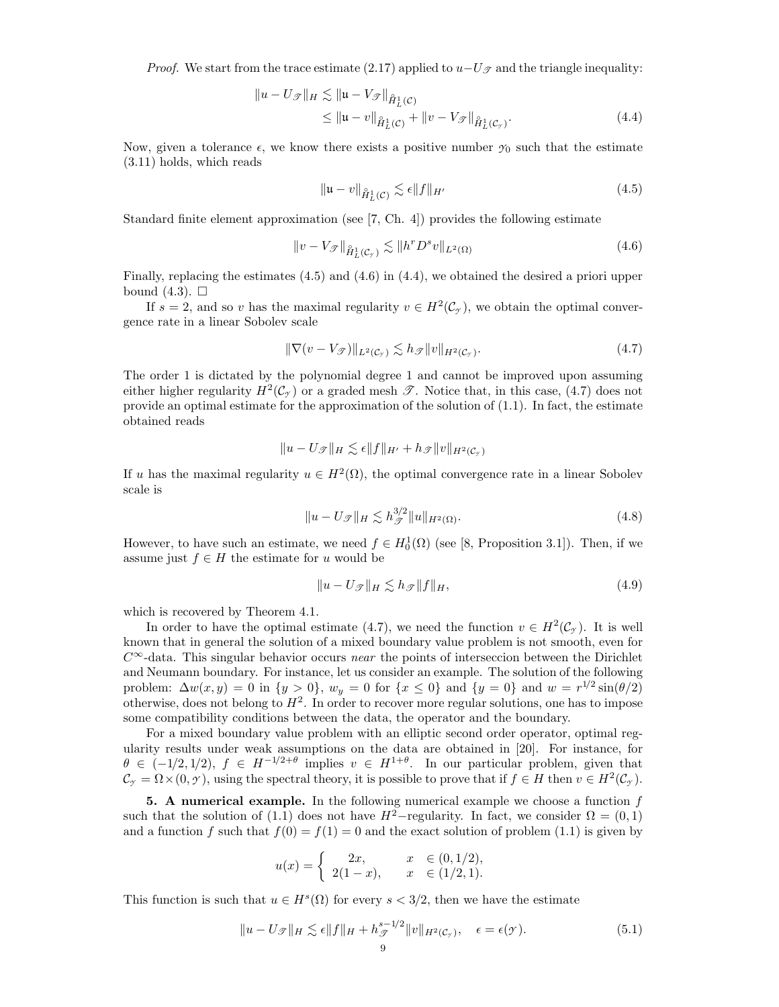*Proof.* We start from the trace estimate (2.17) applied to  $u-U_{\mathscr{T}}$  and the triangle inequality:

$$
||u - U_{\mathcal{F}}||_{H} \lesssim ||u - V_{\mathcal{F}}||_{\mathring{H}_{L}^{1}(\mathcal{C})}
$$
  
\$\leq ||u - v||\_{\mathring{H}\_{L}^{1}(\mathcal{C})} + ||v - V\_{\mathcal{F}}||\_{\mathring{H}\_{L}^{1}(\mathcal{C}\_{\mathcal{F}})}.\$ (4.4)\$

Now, given a tolerance  $\epsilon$ , we know there exists a positive number  $\gamma_0$  such that the estimate (3.11) holds, which reads

$$
\|\mathfrak{u} - v\|_{\hat{H}^1_L(\mathcal{C})} \lesssim \epsilon \|f\|_{H'}
$$
\n(4.5)

Standard finite element approximation (see [7, Ch. 4]) provides the following estimate

$$
||v - V_{\mathcal{F}}||_{\mathring{H}^1_L(\mathcal{C}_\mathcal{F})} \lesssim ||h^r D^s v||_{L^2(\Omega)}
$$
\n(4.6)

Finally, replacing the estimates (4.5) and (4.6) in (4.4), we obtained the desired a priori upper bound  $(4.3)$ .  $\Box$ 

If  $s = 2$ , and so v has the maximal regularity  $v \in H^2(\mathcal{C}_{\gamma})$ , we obtain the optimal convergence rate in a linear Sobolev scale

$$
\|\nabla(v - V_{\mathcal{F}})\|_{L^2(\mathcal{C}_{\mathcal{F}})} \lesssim h_{\mathcal{F}}\|v\|_{H^2(\mathcal{C}_{\mathcal{F}})}.\tag{4.7}
$$

The order 1 is dictated by the polynomial degree 1 and cannot be improved upon assuming either higher regularity  $H^2(\mathcal{C}^{\gamma})$  or a graded mesh  $\mathscr{T}$ . Notice that, in this case, (4.7) does not provide an optimal estimate for the approximation of the solution of  $(1.1)$ . In fact, the estimate obtained reads

$$
||u - U_{\mathscr{T}}||_H \lesssim \epsilon ||f||_{H'} + h_{\mathscr{T}}||v||_{H^2(\mathcal{C}_{\mathscr{T}})}
$$

If u has the maximal regularity  $u \in H^2(\Omega)$ , the optimal convergence rate in a linear Sobolev scale is

$$
||u - U_{\mathcal{F}}||_H \lesssim h_{\mathcal{F}}^{3/2} ||u||_{H^2(\Omega)}.
$$
\n(4.8)

However, to have such an estimate, we need  $f \in H_0^1(\Omega)$  (see [8, Proposition 3.1]). Then, if we assume just  $f \in H$  the estimate for u would be

$$
||u - U_{\mathcal{F}}||_H \lesssim h_{\mathcal{F}} ||f||_H,
$$
\n(4.9)

which is recovered by Theorem 4.1.

In order to have the optimal estimate (4.7), we need the function  $v \in H^2(\mathcal{C}_{\gamma})$ . It is well known that in general the solution of a mixed boundary value problem is not smooth, even for  $C^{\infty}$ -data. This singular behavior occurs near the points of interseccion between the Dirichlet and Neumann boundary. For instance, let us consider an example. The solution of the following problem:  $\Delta w(x, y) = 0$  in  $\{y > 0\}$ ,  $w_y = 0$  for  $\{x \le 0\}$  and  $\{y = 0\}$  and  $w = r^{1/2} \sin(\theta/2)$ otherwise, does not belong to  $H^2$ . In order to recover more regular solutions, one has to impose some compatibility conditions between the data, the operator and the boundary.

For a mixed boundary value problem with an elliptic second order operator, optimal regularity results under weak assumptions on the data are obtained in [20]. For instance, for  $\theta \in (-1/2, 1/2), f \in H^{-1/2+\theta}$  implies  $v \in H^{1+\theta}$ . In our particular problem, given that  $\mathcal{C}_{\gamma} = \Omega \times (0, \gamma)$ , using the spectral theory, it is possible to prove that if  $f \in H$  then  $v \in H^2(\mathcal{C}_{\gamma})$ .

5. A numerical example. In the following numerical example we choose a function  $f$ such that the solution of (1.1) does not have  $H^2$ –regularity. In fact, we consider  $\Omega = (0,1)$ and a function f such that  $f(0) = f(1) = 0$  and the exact solution of problem (1.1) is given by

$$
u(x) = \begin{cases} 2x, & x \in (0, 1/2), \\ 2(1-x), & x \in (1/2, 1). \end{cases}
$$

This function is such that  $u \in H<sup>s</sup>(\Omega)$  for every  $s < 3/2$ , then we have the estimate

$$
||u - U_{\mathscr{T}}||_{H} \lesssim \epsilon ||f||_{H} + h_{\mathscr{T}}^{s-1/2} ||v||_{H^{2}(\mathcal{C}_{\mathscr{T}})}, \quad \epsilon = \epsilon(\mathscr{T}). \tag{5.1}
$$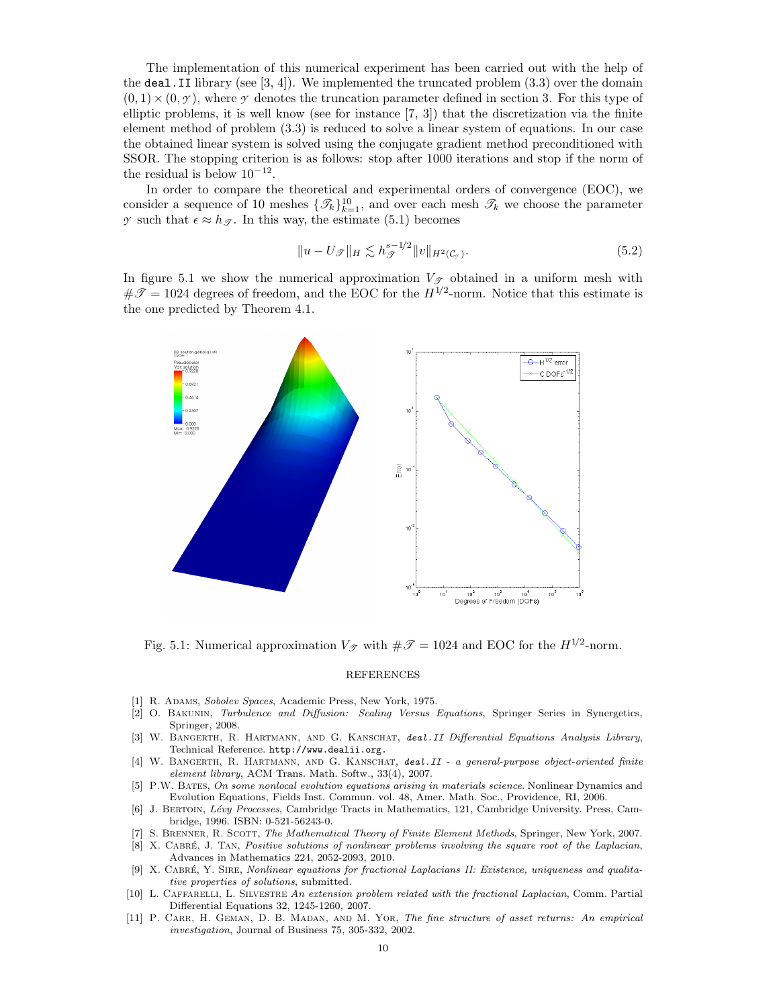The implementation of this numerical experiment has been carried out with the help of the deal. II library (see  $[3, 4]$ ). We implemented the truncated problem  $(3.3)$  over the domain  $(0, 1) \times (0, \gamma)$ , where  $\gamma$  denotes the truncation parameter defined in section 3. For this type of elliptic problems, it is well know (see for instance [7, 3]) that the discretization via the finite element method of problem (3.3) is reduced to solve a linear system of equations. In our case the obtained linear system is solved using the conjugate gradient method preconditioned with SSOR. The stopping criterion is as follows: stop after 1000 iterations and stop if the norm of the residual is below  $10^{-12}$ .

In order to compare the theoretical and experimental orders of convergence (EOC), we consider a sequence of 10 meshes  $\{\mathcal{I}_k\}_{k=1}^{10}$ , and over each mesh  $\mathcal{I}_k$  we choose the parameter *y* such that  $\epsilon \approx h_{\mathscr{T}}$ . In this way, the estimate (5.1) becomes

$$
||u - U_{\mathcal{F}}||_{H} \lesssim h_{\mathcal{F}}^{s-1/2} ||v||_{H^{2}(\mathcal{C}_{\mathcal{F}})}.
$$
\n(5.2)

In figure 5.1 we show the numerical approximation  $V_{\mathscr{T}}$  obtained in a uniform mesh with  $\#\mathscr{T}=1024$  degrees of freedom, and the EOC for the  $H^{1/2}$ -norm. Notice that this estimate is the one predicted by Theorem 4.1.



Fig. 5.1: Numerical approximation  $V_{\mathcal{T}}$  with  $\#\mathcal{T} = 1024$  and EOC for the  $H^{1/2}$ -norm.

### REFERENCES

- [1] R. ADAMS, Sobolev Spaces, Academic Press, New York, 1975.
- [2] O. Bakunin, Turbulence and Diffusion: Scaling Versus Equations, Springer Series in Synergetics, Springer, 2008.
- [3] W. BANGERTH, R. HARTMANN, AND G. KANSCHAT, deal. II Differential Equations Analysis Library, Technical Reference. http://www.dealii.org.
- [4] W. BANGERTH, R. HARTMANN, AND G. KANSCHAT, deal.II a general-purpose object-oriented finite element library, ACM Trans. Math. Softw., 33(4), 2007.
- [5] P.W. Bates, On some nonlocal evolution equations arising in materials science. Nonlinear Dynamics and Evolution Equations, Fields Inst. Commun. vol. 48, Amer. Math. Soc., Providence, RI, 2006.
- [6] J. BERTOIN, Lévy Processes, Cambridge Tracts in Mathematics, 121, Cambridge University. Press, Cambridge, 1996. ISBN: 0-521-56243-0.
- [7] S. Brenner, R. Scott, The Mathematical Theory of Finite Element Methods, Springer, New York, 2007. [8] X. CABRÉ, J. TAN, Positive solutions of nonlinear problems involving the square root of the Laplacian, Advances in Mathematics 224, 2052-2093, 2010.
- [9] X. Cabr´e, Y. Sire, Nonlinear equations for fractional Laplacians II: Existence, uniqueness and qualitative properties of solutions, submitted.
- [10] L. CAFFARELLI, L. SILVESTRE An extension problem related with the fractional Laplacian, Comm. Partial Differential Equations 32, 1245-1260, 2007.
- [11] P. CARR, H. GEMAN, D. B. MADAN, AND M. YOR, The fine structure of asset returns: An empirical investigation, Journal of Business 75, 305-332, 2002.